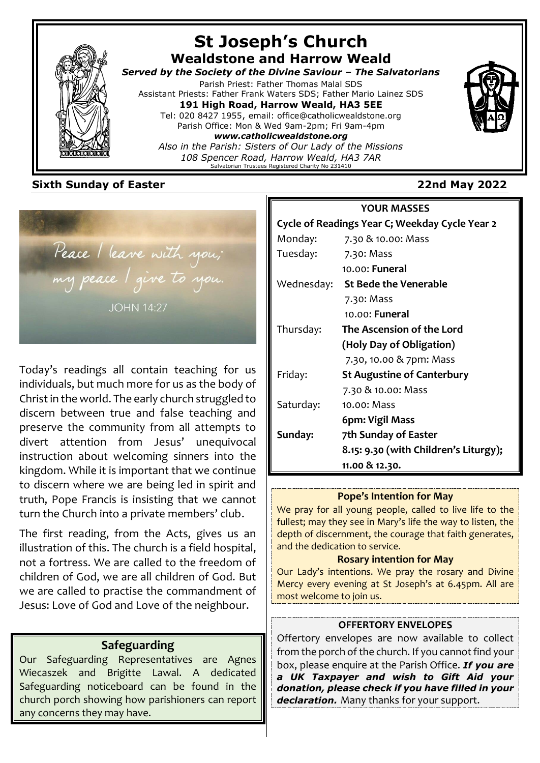

## **St Joseph's Church Wealdstone and Harrow Weald**

*Served by the Society of the Divine Saviour – The Salvatorians* Parish Priest: Father Thomas Malal SDS

Assistant Priests: Father Frank Waters SDS; Father Mario Lainez SDS **191 High Road, Harrow Weald, HA3 5EE** Tel: 020 8427 1955, email: office@catholicwealdstone.org Parish Office: Mon & Wed 9am-2pm; Fri 9am-4pm

*www.catholicwealdstone.org Also in the Parish: Sisters of Our Lady of the Missions*

*108 Spencer Road, Harrow Weald, HA3 7AR* Salvatorian Trustees Registered Charity No 231410

## **Sixth Sunday of Easter 22nd May 2022**

Peace / leave with you; my peace I give to you. **JOHN 14:27** 

Today's readings all contain teaching for us individuals, but much more for us as the body of Christ in the world. The early church struggled to discern between true and false teaching and preserve the community from all attempts to divert attention from Jesus' unequivocal instruction about welcoming sinners into the kingdom. While it is important that we continue to discern where we are being led in spirit and truth, Pope Francis is insisting that we cannot turn the Church into a private members' club.

The first reading, from the Acts, gives us an illustration of this. The church is a field hospital, not a fortress. We are called to the freedom of children of God, we are all children of God. But we are called to practise the commandment of Jesus: Love of God and Love of the neighbour.

## **Safeguarding**

Our Safeguarding Representatives are Agnes Wiecaszek and Brigitte Lawal. A dedicated Safeguarding noticeboard can be found in the church porch showing how parishioners can report any concerns they may have.

## **YOUR MASSES Cycle of Readings Year C; Weekday Cycle Year 2** Monday: 7.30 & 10.00: Mass Tuesday: 7.30: Mass 10.00: **Funeral** Wednesday: **St Bede the Venerable** 7.30: Mass 10.00: **Funeral** Thursday: **The Ascension of the Lord (Holy Day of Obligation)** 7.30, 10.00 & 7pm: Mass Friday: **St Augustine of Canterbury** 7.30 & 10.00: Mass Saturday: 10.00: Mass  **6pm: Vigil Mass Sunday: 7th Sunday of Easter 8.15: 9.30 (with Children's Liturgy); 11.00 & 12.30.**

#### **Pope's Intention for May**

We pray for all young people, called to live life to the fullest; may they see in Mary's life the way to listen, the depth of discernment, the courage that faith generates, and the dedication to service.

#### **Rosary intention for May**

Our Lady's intentions. We pray the rosary and Divine Mercy every evening at St Joseph's at 6.45pm. All are most welcome to join us.

#### **OFFERTORY ENVELOPES**

Offertory envelopes are now available to collect from the porch of the church. If you cannot find your box, please enquire at the Parish Office. *If you are a UK Taxpayer and wish to Gift Aid your donation, please check if you have filled in your declaration.* Many thanks for your support.